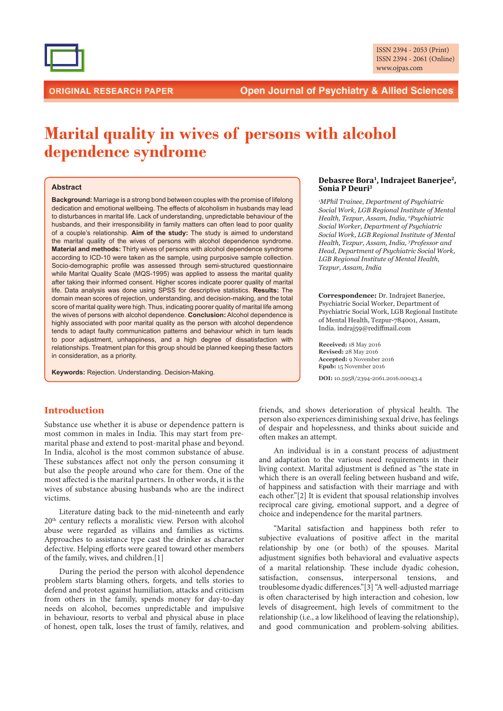

# **Marital quality in wives of persons with alcohol** dependence syndrome

#### **Abstract**

**Background:** Marriage is a strong bond between couples with the promise of lifelong dedication and emotional wellbeing. The effects of alcoholism in husbands may lead to disturbances in marital life. Lack of understanding, unpredictable behaviour of the husbands, and their irresponsibility in family matters can often lead to poor quality of a couple's relationship. **Aim of the study:** The study is aimed to understand the marital quality of the wives of persons with alcohol dependence syndrome. **Material and methods:** Thirty wives of persons with alcohol dependence syndrome according to ICD-10 were taken as the sample, using purposive sample collection. Socio-demographic profile was assessed through semi-structured questionnaire while Marital Quality Scale (MQS-1995) was applied to assess the marital quality after taking their informed consent. Higher scores indicate poorer quality of marital life. Data analysis was done using SPSS for descriptive statistics. **Results:** The domain mean scores of rejection, understanding, and decision-making, and the total score of marital quality were high. Thus, indicating poorer quality of marital life among the wives of persons with alcohol dependence. **Conclusion:** Alcohol dependence is highly associated with poor marital quality as the person with alcohol dependence tends to adapt faulty communication patterns and behaviour which in turn leads to poor adjustment, unhappiness, and a high degree of dissatisfaction with relationships. Treatment plan for this group should be planned keeping these factors in consideration, as a priority.

**Keywords:** Rejection. Understanding. Decision-Making.

#### **Debasree Bora<sup>1</sup> , Indrajeet Banerjee<sup>2</sup> , Sonia P Deuri<sup>3</sup>**

<sup>1</sup>*MPhil Trainee, Department of Psuchiatric*  $6$ *Social Work, LGB Regional Institute of Mental Health, Tezpur, Assam, India, <sup>2</sup>Psychiatric <i>Social Worker, Department of Psychiatric*  $6$ *Social Work, LGB Regional Institute of Mental Health, Tezpur, Assam, India, <sup>3</sup>Professor and Head, Department of Psychiatric Social Work, LGB* Regional Institute of Mental Health, *Tezpur, Assam, India* 

**Correspondence:** Dr. Indrajeet Banerjee, Psychiatric Social Worker, Department of Psychiatric Social Work, LGB Regional Institute of Mental Health, Tezpur-784001, Assam, India. indraj59@rediffmail.com

**Received:** 18 May 2016 **Revised:** 28 May 2016 **Accepted:** 9 November 2016 **Epub:** 15 November 2016 DOI: 10.5958/2394-2061.2016.00043.4

# **Introduction**

Substance use whether it is abuse or dependence pattern is most common in males in India. This may start from premarital phase and extend to post-marital phase and beyond. In India, alcohol is the most common substance of abuse. These substances affect not only the person consuming it but also the people around who care for them. One of the most affected is the marital partners. In other words, it is the wives of substance abusing husbands who are the indirect victims.

Literature dating back to the mid-nineteenth and early 20<sup>th</sup> century reflects a moralistic view. Person with alcohol abuse were regarded as villains and families as victims. Approaches to assistance type cast the drinker as character defective. Helping efforts were geared toward other members of the family, wives, and children.[1]

During the period the person with alcohol dependence problem starts blaming others, forgets, and tells stories to defend and protest against humiliation, attacks and criticism from others in the family, spends money for day-to-day needs on alcohol, becomes unpredictable and impulsive in behaviour, resorts to verbal and physical abuse in place of honest, open talk, loses the trust of family, relatives, and friends, and shows deterioration of physical health. The person also experiences diminishing sexual drive, has feelings of despair and hopelessness, and thinks about suicide and often makes an attempt.

An individual is in a constant process of adjustment and adaptation to the various need requirements in their living context. Marital adjustment is defined as "the state in which there is an overall feeling between husband and wife, of happiness and satisfaction with their marriage and with each other."[2] It is evident that spousal relationship involves reciprocal care giving, emotional support, and a degree of choice and independence for the marital partners.

"Marital satisfaction and happiness both refer to subjective evaluations of positive affect in the marital relationship by one (or both) of the spouses. Marital adjustment signifies both behavioral and evaluative aspects of a marital relationship. These include dyadic cohesion, satisfaction, consensus, interpersonal tensions, and troublesome dyadic differences."[3] "A well-adjusted marriage is often characterised by high interaction and cohesion, low levels of disagreement, high levels of commitment to the relationship (i.e., a low likelihood of leaving the relationship), and good communication and problem-solving abilities.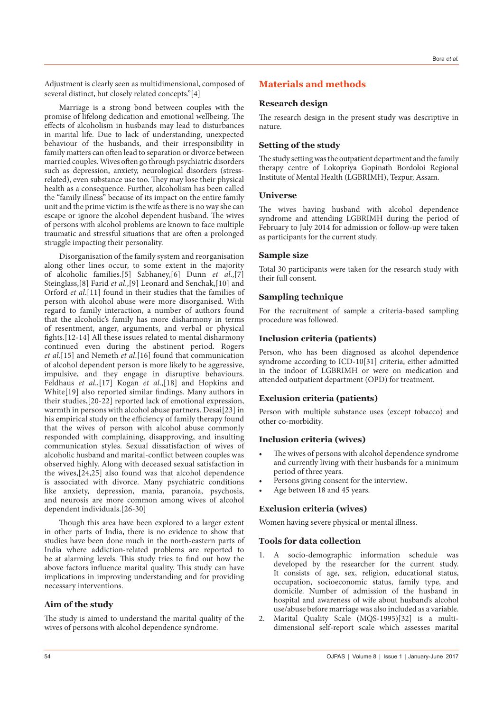Adjustment is clearly seen as multidimensional, composed of several distinct, but closely related concepts."[4]

Marriage is a strong bond between couples with the promise of lifelong dedication and emotional wellbeing. The effects of alcoholism in husbands may lead to disturbances in marital life. Due to lack of understanding, unexpected behaviour of the husbands, and their irresponsibility in family matters can often lead to separation or divorce between married couples. Wives often go through psychiatric disorders such as depression, anxiety, neurological disorders (stressrelated), even substance use too. They may lose their physical health as a consequence. Further, alcoholism has been called the "family illness" because of its impact on the entire family unit and the prime victim is the wife as there is no way she can escape or ignore the alcohol dependent husband. The wives of persons with alcohol problems are known to face multiple traumatic and stressful situations that are often a prolonged struggle impacting their personality.

Disorganisation of the family system and reorganisation along other lines occur, to some extent in the majority of alcoholic families.[5] Sabhaney,[6] Dunn et al.,[7] Steinglass,[8] Farid et al.,[9] Leonard and Senchak,[10] and Orford et al.[11] found in their studies that the families of person with alcohol abuse were more disorganised. With regard to family interaction, a number of authors found that the alcoholic's family has more disharmony in terms of resentment, anger, arguments, and verbal or physical fights.<sup>[12-14]</sup> All these issues related to mental disharmony continued even during the abstinent period. Rogers et al.[15] and Nemeth et al.[16] found that communication of alcohol dependent person is more likely to be aggressive, impulsive, and they engage in disruptive behaviours. Feldhaus et al.,[17] Kogan et al.,[18] and Hopkins and White[19] also reported similar findings. Many authors in their studies,[20-22] reported lack of emotional expression, warmth in persons with alcohol abuse partners. Desai[23] in his empirical study on the efficiency of family therapy found that the wives of person with alcohol abuse commonly responded with complaining, disapproving, and insulting communication styles. Sexual dissatisfaction of wives of alcoholic husband and marital-conflict between couples was observed highly. Along with deceased sexual satisfaction in the wives,[24,25] also found was that alcohol dependence is associated with divorce. Many psychiatric conditions like anxiety, depression, mania, paranoia, psychosis, and neurosis are more common among wives of alcohol dependent individuals.[26-30]

Though this area have been explored to a larger extent in other parts of India, there is no evidence to show that studies have been done much in the north-eastern parts of India where addiction-related problems are reported to be at alarming levels. This study tries to find out how the above factors influence marital quality. This study can have implications in improving understanding and for providing necessary interventions.

## **Aim of the study**

The study is aimed to understand the marital quality of the wives of persons with alcohol dependence syndrome.

# **Materials and methods**

#### **Research design**

The research design in the present study was descriptive in nature.

## **Setting of the study**

The study setting was the outpatient department and the family therapy centre of Lokopriya Gopinath Bordoloi Regional Institute of Mental Health (LGBRIMH), Tezpur, Assam.

## **Universe**

The wives having husband with alcohol dependence syndrome and attending LGBRIMH during the period of February to July 2014 for admission or follow-up were taken as participants for the current study.

## **Sample size**

Total 30 participants were taken for the research study with their full consent.

#### **Sampling technique**

For the recruitment of sample a criteria-based sampling procedure was followed.

### **Inclusion criteria (patients)**

Person, who has been diagnosed as alcohol dependence syndrome according to ICD-10[31] criteria, either admitted in the indoor of LGBRIMH or were on medication and attended outpatient department (OPD) for treatment.

#### **Exclusion criteria (patients)**

Person with multiple substance uses (except tobacco) and other co-morbidity.

#### **Inclusion criteria (wives)**

- The wives of persons with alcohol dependence syndrome and currently living with their husbands for a minimum period of three years.
- Persons giving consent for the interview.
- Age between 18 and 45 years.

#### **Exclusion criteria (wives)**

Women having severe physical or mental illness.

## **Tools for data collection**

- 1. A socio-demographic information schedule was developed by the researcher for the current study. It consists of age, sex, religion, educational status, occupation, socioeconomic status, family type, and domicile. Number of admission of the husband in hospital and awareness of wife about husband's alcohol use/abuse before marriage was also included as a variable.
- Marital Quality Scale (MQS-1995)[32] is a multidimensional self-report scale which assesses marital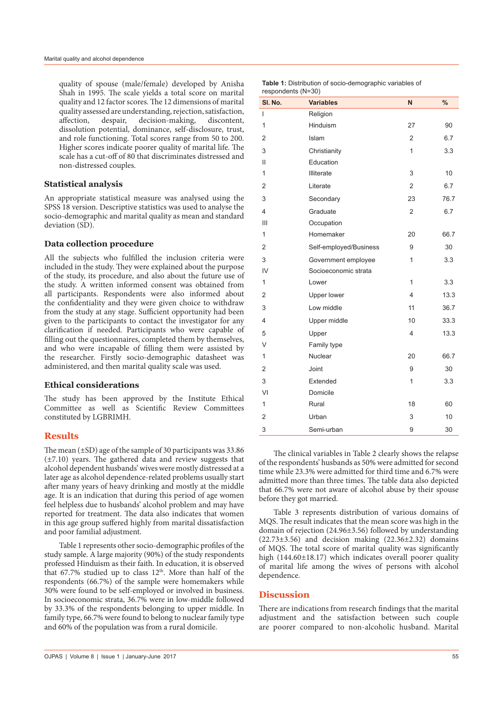quality of spouse (male/female) developed by Anisha Shah in 1995. The scale yields a total score on marital quality and 12 factor scores. The 12 dimensions of marital quality assessed are understanding, rejection, satisfaction, affection, despair, decision-making, discontent, dissolution potential, dominance, self-disclosure, trust, and role functioning. Total scores range from 50 to 200. Higher scores indicate poorer quality of marital life. The scale has a cut-off of 80 that discriminates distressed and non-distressed couples.

# **Statistical analysis**

An appropriate statistical measure was analysed using the SPSS 18 version. Descriptive statistics was used to analyse the socio-demographic and marital quality as mean and standard deviation (SD).

# **Data collection procedure**

All the subjects who fulfilled the inclusion criteria were included in the study. They were explained about the purpose of the study, its procedure, and also about the future use of the study. A written informed consent was obtained from all participants. Respondents were also informed about the confidentiality and they were given choice to withdraw from the study at any stage. Sufficient opportunity had been given to the participants to contact the investigator for any clarification if needed. Participants who were capable of filling out the questionnaires, completed them by themselves, and who were incapable of filling them were assisted by the researcher. Firstly socio-demographic datasheet was administered, and then marital quality scale was used.

## **Ethical considerations**

The study has been approved by the Institute Ethical Committee as well as Scientific Review Committees constituted by LGBRIMH.

# **Results**

The mean  $(\pm SD)$  age of the sample of 30 participants was 33.86  $(\pm 7.10)$  years. The gathered data and review suggests that alcohol dependent husbands' wives were mostly distressed at a later age as alcohol dependence-related problems usually start after many years of heavy drinking and mostly at the middle age. It is an indication that during this period of age women feel helpless due to husbands' alcohol problem and may have reported for treatment. The data also indicates that women in this age group suffered highly from marital dissatisfaction and poor familial adjustment.

Table 1 represents other socio-demographic profiles of the study sample. A large majority (90%) of the study respondents professed Hinduism as their faith. In education, it is observed that 67.7% studied up to class  $12<sup>th</sup>$ . More than half of the respondents (66.7%) of the sample were homemakers while 30% were found to be self-employed or involved in business. In socioeconomic strata, 36.7% were in low-middle followed by 33.3% of the respondents belonging to upper middle. In family type, 66.7% were found to belong to nuclear family type and 60% of the population was from a rural domicile.

|                    | <b>Table 1:</b> Distribution of socio-demographic variables of |  |
|--------------------|----------------------------------------------------------------|--|
| respondents (N=30) |                                                                |  |

| SI. No.        | <b>Variables</b>       | N              | $\frac{0}{0}$ |
|----------------|------------------------|----------------|---------------|
| $\overline{1}$ | Religion               |                |               |
| 1              | Hinduism               | 27             | 90            |
| 2              | Islam                  | $\overline{2}$ | 6.7           |
| 3              | Christianity           | $\mathbf{1}$   | 3.3           |
| Ш              | Education              |                |               |
| 1              | Illiterate             | 3              | 10            |
| 2              | Literate               | $\overline{2}$ | 6.7           |
| 3              | Secondary              | 23             | 76.7          |
| $\overline{4}$ | Graduate               | $\overline{2}$ | 6.7           |
| III            | Occupation             |                |               |
| 1              | Homemaker              | 20             | 66.7          |
| 2              | Self-employed/Business | 9              | 30            |
| 3              | Government employee    | $\mathbf{1}$   | 3.3           |
| IV             | Socioeconomic strata   |                |               |
| 1              | Lower                  | $\mathbf{1}$   | 3.3           |
| 2              | <b>Upper lower</b>     | $\overline{4}$ | 13.3          |
| 3              | Low middle             | 11             | 36.7          |
| 4              | Upper middle           | 10             | 33.3          |
| 5              | Upper                  | $\overline{4}$ | 13.3          |
| V              | Family type            |                |               |
| 1              | Nuclear                | 20             | 66.7          |
| 2              | Joint                  | 9              | 30            |
| 3              | Extended               | 1              | 3.3           |
| VI             | Domicile               |                |               |
| $\mathbf{1}$   | Rural                  | 18             | 60            |
| $\overline{2}$ | Urban                  | 3              | 10            |
| 3              | Semi-urban             | 9              | 30            |

The clinical variables in Table 2 clearly shows the relapse of the respondents' husbands as 50% were admitted for second time while 23.3% were admitted for third time and 6.7% were admitted more than three times. The table data also depicted that 66.7% were not aware of alcohol abuse by their spouse before they got married.

Table 3 represents distribution of various domains of MQS. The result indicates that the mean score was high in the domain of rejection (24.96±3.56) followed by understanding (22.73±3.56) and decision making (22.36±2.32) domains of MQS. The total score of marital quality was significantly high (144.60±18.17) which indicates overall poorer quality of marital life among the wives of persons with alcohol dependence.

# **Discussion**

There are indications from research findings that the marital adjustment and the satisfaction between such couple are poorer compared to non-alcoholic husband. Marital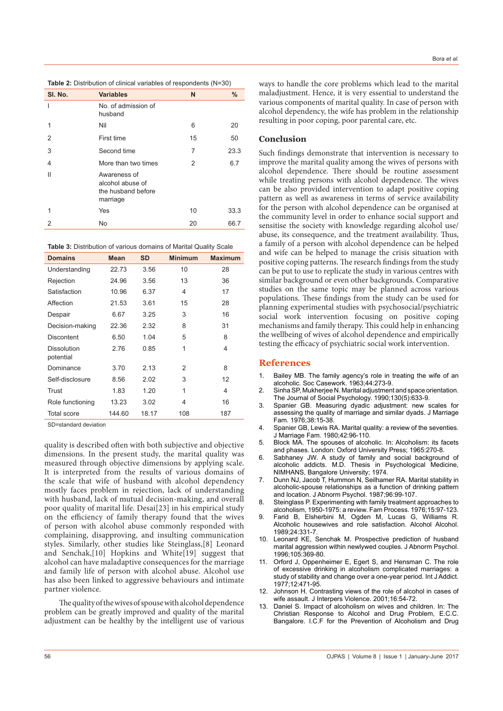**Table 2:** Distribution of clinical variables of respondents (N=30)

| SI. No. | <b>Variables</b>                                                   | N  | $\frac{0}{0}$ |
|---------|--------------------------------------------------------------------|----|---------------|
| ı       | No. of admission of<br>husband                                     |    |               |
| 1       | Nil                                                                | 6  | 20            |
| 2       | First time                                                         | 15 | 50            |
| 3       | Second time                                                        | 7  | 23.3          |
| 4       | More than two times                                                | 2  | 6.7           |
| Ш       | Awareness of<br>alcohol abuse of<br>the husband before<br>marriage |    |               |
| 1       | Yes                                                                | 10 | 33.3          |
| 2       | No                                                                 | 20 | 66.7          |

**Table 3:** Distribution of various domains of Marital Quality Scale

| <b>Domains</b>           | <b>Mean</b> | <b>SD</b> | <b>Minimum</b> | <b>Maximum</b> |
|--------------------------|-------------|-----------|----------------|----------------|
| Understanding            | 22.73       | 3.56      | 10             | 28             |
| Rejection                | 24.96       | 3.56      | 13             | 36             |
| Satisfaction             | 10.96       | 6.37      | 4              | 17             |
| Affection                | 21.53       | 3.61      | 15             | 28             |
| Despair                  | 6.67        | 3.25      | 3              | 16             |
| Decision-making          | 22.36       | 2.32      | 8              | 31             |
| <b>Discontent</b>        | 6.50        | 1.04      | 5              | 8              |
| Dissolution<br>potential | 2.76        | 0.85      | 1              | 4              |
| Dominance                | 3.70        | 2.13      | 2              | 8              |
| Self-disclosure          | 8.56        | 2.02      | 3              | 12             |
| Trust                    | 1.83        | 1.20      | 1              | 4              |
| Role functioning         | 13.23       | 3.02      | 4              | 16             |
| <b>Total score</b>       | 144.60      | 18.17     | 108            | 187            |

SD=standard deviation

quality is described often with both subjective and objective dimensions. In the present study, the marital quality was measured through objective dimensions by applying scale. It is interpreted from the results of various domains of the scale that wife of husband with alcohol dependency mostly faces problem in rejection, lack of understanding with husband, lack of mutual decision-making, and overall poor quality of marital life. Desai[23] in his empirical study on the efficiency of family therapy found that the wives of person with alcohol abuse commonly responded with complaining, disapproving, and insulting communication styles. Similarly, other studies like Steinglass,[8] Leonard and Senchak,[10] Hopkins and White[19] suggest that alcohol can have maladaptive consequences for the marriage and family life of person with alcohol abuse. Alcohol use has also been linked to aggressive behaviours and intimate partner violence.

The quality of the wives of spouse with alcohol dependence problem can be greatly improved and quality of the marital adjustment can be healthy by the intelligent use of various ways to handle the core problems which lead to the marital maladjustment. Hence, it is very essential to understand the various components of marital quality. In case of person with alcohol dependency, the wife has problem in the relationship resulting in poor coping, poor parental care, etc.

## **Conclusion**

Such findings demonstrate that intervention is necessary to improve the marital quality among the wives of persons with alcohol dependence. There should be routine assessment while treating persons with alcohol dependence. The wives can be also provided intervention to adapt positive coping pattern as well as awareness in terms of service availability for the person with alcohol dependence can be organised at the community level in order to enhance social support and sensitise the society with knowledge regarding alcohol use/ abuse, its consequence, and the treatment availability. Thus, a family of a person with alcohol dependence can be helped and wife can be helped to manage the crisis situation with positive coping patterns. The research findings from the study can be put to use to replicate the study in various centres with similar background or even other backgrounds. Comparative studies on the same topic may be planned across various populations. These findings from the study can be used for planning experimental studies with psychosocial/psychiatric social work intervention focusing on positive coping mechanisms and family therapy. This could help in enhancing the wellbeing of wives of alcohol dependence and empirically testing the efficacy of psychiatric social work intervention.

#### **References**

- 1. Bailey MB. The family agency's role in treating the wife of an alcoholic. Soc Casework. 1963;44:273-9.
- 2. Sinha SP, Mukherjee N. Marital adjustment and space orientation. The Journal of Social Psychology. 1990;130(5):633-9.
- 3. Spanier GB. Measuring dyadic adjustment: new scales for assessing the quality of marriage and similar dyads. J Marriage Fam. 1976;38:15-38.
- 4. Spanier GB, Lewis RA. Marital quality: a review of the seventies. J Marriage Fam. 1980;42:96-110.
- 5. Block MA. The spouses of alcoholic. In: Alcoholism: its facets and phases. London: Oxford University Press; 1965:270-8.
- Sabhaney JW. A study of family and social background of alcoholic addicts. M.D. Thesis in Psychological Medicine, NIMHANS, Bangalore University; 1974.
- 7. Dunn NJ, Jacob T, Hummon N, Seilhamer RA. Marital stability in alcoholic-spouse relationships as a function of drinking pattern and location. J Abnorm Psychol. 1987;96:99-107.
- Steinglass P. Experimenting with family treatment approaches to alcoholism, 1950-1975: a review. Fam Process. 1976;15:97-123.
- 9. Farid B, Elsherbini M, Ogden M, Lucas G, Williams R. Alcoholic housewives and role satisfaction. Alcohol Alcohol. 1989;24:331-7.
- 10. Leonard KE, Senchak M. Prospective prediction of husband marital aggression within newlywed couples. J Abnorm Psychol. 1996;105:369-80.
- 11. Orford J, Oppenheimer E, Egert S, and Hensman C. The role of excessive drinking in alcoholism complicated marriages: a study of stability and change over a one-year period. Int J Addict. 1977;12:471-95.
- 12. Johnson H. Contrasting views of the role of alcohol in cases of wife assault. J Interpers Violence. 2001;16:54-72.
- Daniel S. Impact of alcoholism on wives and children. In: The Christian Response to Alcohol and Drug Problem, E.C.C. Bangalore. I.C.F for the Prevention of Alcoholism and Drug